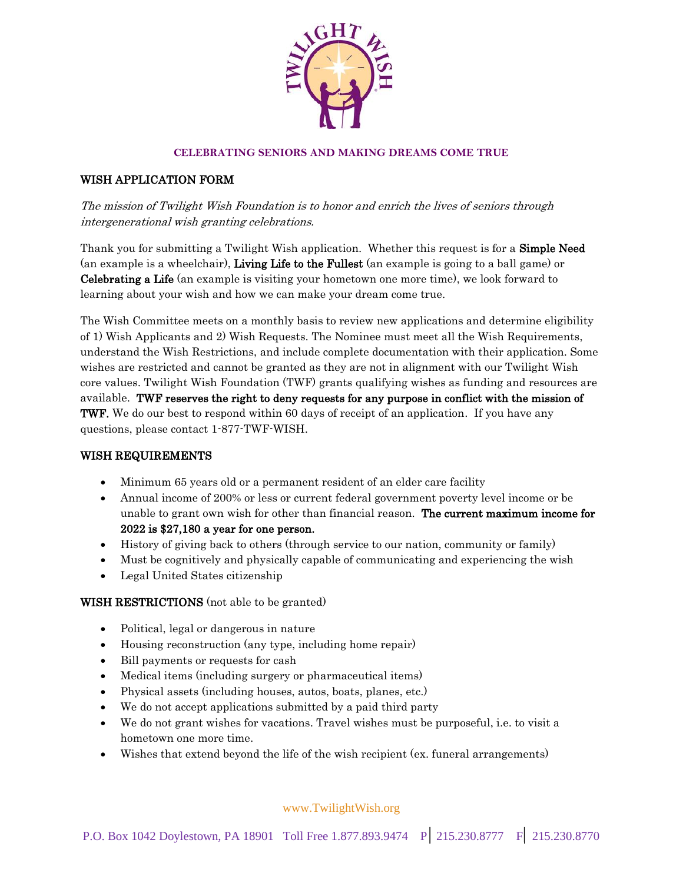

### **CELEBRATING SENIORS AND MAKING DREAMS COME TRUE**

## WISH APPLICATION FORM

The mission of Twilight Wish Foundation is to honor and enrich the lives of seniors through intergenerational wish granting celebrations.

Thank you for submitting a Twilight Wish application. Whether this request is for a Simple Need (an example is a wheelchair), Living Life to the Fullest (an example is going to a ball game) or Celebrating a Life (an example is visiting your hometown one more time), we look forward to learning about your wish and how we can make your dream come true.

The Wish Committee meets on a monthly basis to review new applications and determine eligibility of 1) Wish Applicants and 2) Wish Requests. The Nominee must meet all the Wish Requirements, understand the Wish Restrictions, and include complete documentation with their application. Some wishes are restricted and cannot be granted as they are not in alignment with our Twilight Wish core values. Twilight Wish Foundation (TWF) grants qualifying wishes as funding and resources are available. TWF reserves the right to deny requests for any purpose in conflict with the mission of TWF. We do our best to respond within 60 days of receipt of an application. If you have any questions, please contact 1-877-TWF-WISH.

#### WISH REQUIREMENTS

- Minimum 65 years old or a permanent resident of an elder care facility
- Annual income of 200% or less or current federal government poverty level income or be unable to grant own wish for other than financial reason. The current maximum income for 2022 is \$27,180 a year for one person.
- History of giving back to others (through service to our nation, community or family)
- Must be cognitively and physically capable of communicating and experiencing the wish
- Legal United States citizenship

#### WISH RESTRICTIONS (not able to be granted)

- Political, legal or dangerous in nature
- Housing reconstruction (any type, including home repair)
- Bill payments or requests for cash
- Medical items (including surgery or pharmaceutical items)
- Physical assets (including houses, autos, boats, planes, etc.)
- We do not accept applications submitted by a paid third party
- We do not grant wishes for vacations. Travel wishes must be purposeful, i.e. to visit a hometown one more time.
- Wishes that extend beyond the life of the wish recipient (ex. funeral arrangements)

www.TwilightWish.org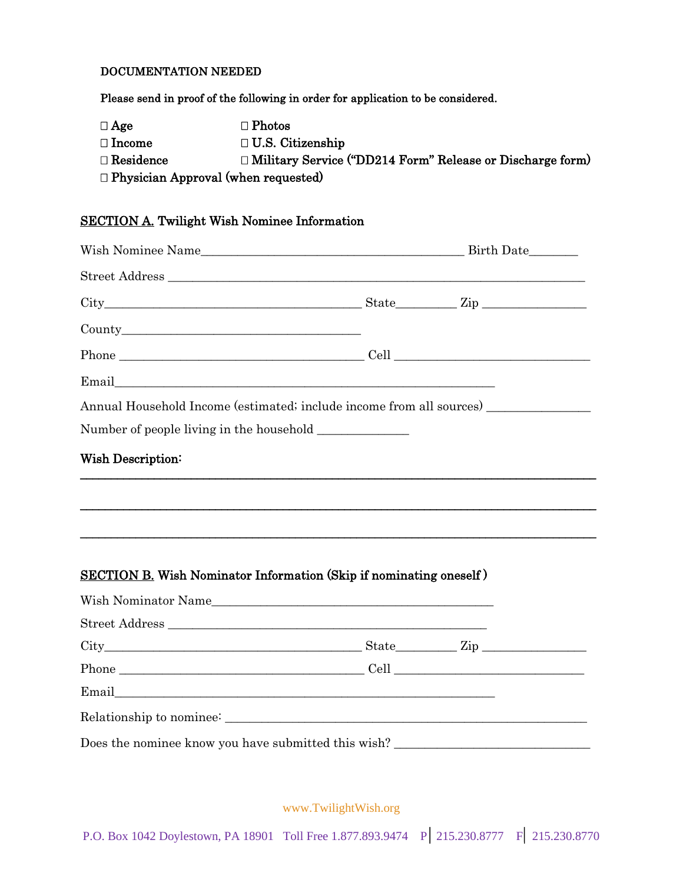## DOCUMENTATION NEEDED

Please send in proof of the following in order for application to be considered.

| $\Box$ Age                                 | $\Box$ Photos                                                    |  |
|--------------------------------------------|------------------------------------------------------------------|--|
| $\Box$ Income                              | $\Box$ U.S. Citizenship                                          |  |
| $\Box$ Residence                           | $\Box$ Military Service ("DD214 Form" Release or Discharge form) |  |
| $\Box$ Physician Approval (when requested) |                                                                  |  |

# SECTION A. Twilight Wish Nominee Information

| $City$ $City$ $Zip$ $Line$                                                        |  |
|-----------------------------------------------------------------------------------|--|
|                                                                                   |  |
|                                                                                   |  |
|                                                                                   |  |
| Annual Household Income (estimated; include income from all sources) ____________ |  |
|                                                                                   |  |
| <b>Wish Description:</b>                                                          |  |
| <b>SECTION B.</b> Wish Nominator Information (Skip if nominating oneself)         |  |
|                                                                                   |  |
|                                                                                   |  |
| $City$ $City$ $Zip$ $Line$                                                        |  |
|                                                                                   |  |
|                                                                                   |  |
|                                                                                   |  |
| Does the nominee know you have submitted this wish?                               |  |

www.TwilightWish.org